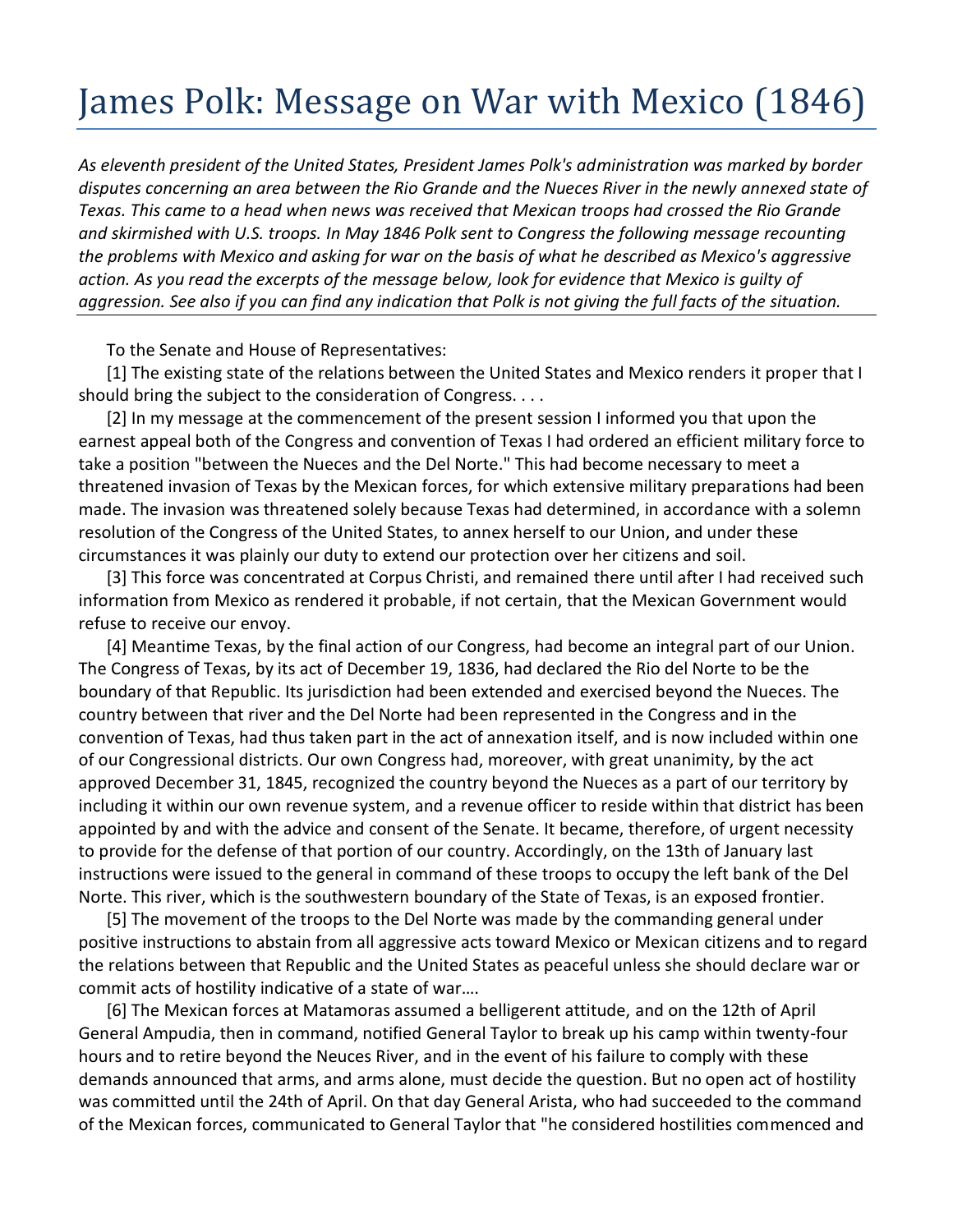## James Polk: Message on War with Mexico (1846)

*As eleventh president of the United States, President James Polk's administration was marked by border disputes concerning an area between the Rio Grande and the Nueces River in the newly annexed state of Texas. This came to a head when news was received that Mexican troops had crossed the Rio Grande and skirmished with U.S. troops. In May 1846 Polk sent to Congress the following message recounting the problems with Mexico and asking for war on the basis of what he described as Mexico's aggressive action. As you read the excerpts of the message below, look for evidence that Mexico is guilty of aggression. See also if you can find any indication that Polk is not giving the full facts of the situation.*

To the Senate and House of Representatives:

[1] The existing state of the relations between the United States and Mexico renders it proper that I should bring the subject to the consideration of Congress. . . .

[2] In my message at the commencement of the present session I informed you that upon the earnest appeal both of the Congress and convention of Texas I had ordered an efficient military force to take a position "between the Nueces and the Del Norte." This had become necessary to meet a threatened invasion of Texas by the Mexican forces, for which extensive military preparations had been made. The invasion was threatened solely because Texas had determined, in accordance with a solemn resolution of the Congress of the United States, to annex herself to our Union, and under these circumstances it was plainly our duty to extend our protection over her citizens and soil.

[3] This force was concentrated at Corpus Christi, and remained there until after I had received such information from Mexico as rendered it probable, if not certain, that the Mexican Government would refuse to receive our envoy.

[4] Meantime Texas, by the final action of our Congress, had become an integral part of our Union. The Congress of Texas, by its act of December 19, 1836, had declared the Rio del Norte to be the boundary of that Republic. Its jurisdiction had been extended and exercised beyond the Nueces. The country between that river and the Del Norte had been represented in the Congress and in the convention of Texas, had thus taken part in the act of annexation itself, and is now included within one of our Congressional districts. Our own Congress had, moreover, with great unanimity, by the act approved December 31, 1845, recognized the country beyond the Nueces as a part of our territory by including it within our own revenue system, and a revenue officer to reside within that district has been appointed by and with the advice and consent of the Senate. It became, therefore, of urgent necessity to provide for the defense of that portion of our country. Accordingly, on the 13th of January last instructions were issued to the general in command of these troops to occupy the left bank of the Del Norte. This river, which is the southwestern boundary of the State of Texas, is an exposed frontier.

[5] The movement of the troops to the Del Norte was made by the commanding general under positive instructions to abstain from all aggressive acts toward Mexico or Mexican citizens and to regard the relations between that Republic and the United States as peaceful unless she should declare war or commit acts of hostility indicative of a state of war….

[6] The Mexican forces at Matamoras assumed a belligerent attitude, and on the 12th of April General Ampudia, then in command, notified General Taylor to break up his camp within twenty-four hours and to retire beyond the Neuces River, and in the event of his failure to comply with these demands announced that arms, and arms alone, must decide the question. But no open act of hostility was committed until the 24th of April. On that day General Arista, who had succeeded to the command of the Mexican forces, communicated to General Taylor that "he considered hostilities commenced and